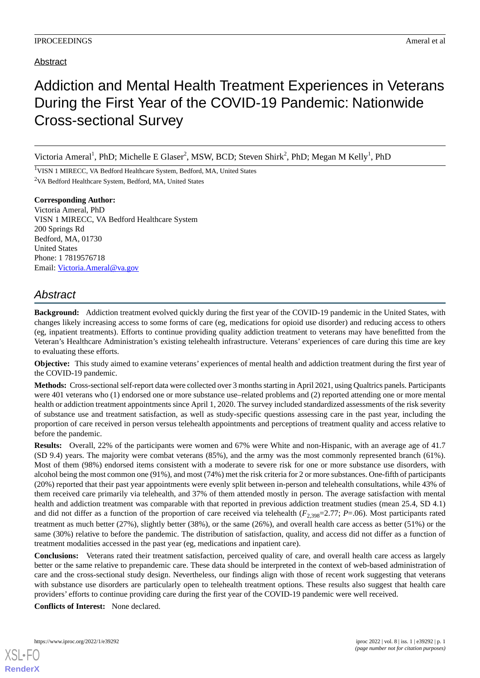## Addiction and Mental Health Treatment Experiences in Veterans During the First Year of the COVID-19 Pandemic: Nationwide Cross-sectional Survey

Victoria Ameral<sup>1</sup>, PhD; Michelle E Glaser<sup>2</sup>, MSW, BCD; Steven Shirk<sup>2</sup>, PhD; Megan M Kelly<sup>1</sup>, PhD

<sup>1</sup>VISN 1 MIRECC, VA Bedford Healthcare System, Bedford, MA, United States <sup>2</sup>VA Bedford Healthcare System, Bedford, MA, United States

**Corresponding Author:** Victoria Ameral, PhD VISN 1 MIRECC, VA Bedford Healthcare System 200 Springs Rd Bedford, MA, 01730 United States Phone: 1 7819576718 Email: [Victoria.Ameral@va.gov](mailto:Victoria.Ameral@va.gov)

## *Abstract*

**Background:** Addiction treatment evolved quickly during the first year of the COVID-19 pandemic in the United States, with changes likely increasing access to some forms of care (eg, medications for opioid use disorder) and reducing access to others (eg, inpatient treatments). Efforts to continue providing quality addiction treatment to veterans may have benefitted from the Veteran's Healthcare Administration's existing telehealth infrastructure. Veterans' experiences of care during this time are key to evaluating these efforts.

**Objective:** This study aimed to examine veterans' experiences of mental health and addiction treatment during the first year of the COVID-19 pandemic.

**Methods:** Cross-sectional self-report data were collected over 3 months starting in April 2021, using Qualtrics panels. Participants were 401 veterans who (1) endorsed one or more substance use–related problems and (2) reported attending one or more mental health or addiction treatment appointments since April 1, 2020. The survey included standardized assessments of the risk severity of substance use and treatment satisfaction, as well as study-specific questions assessing care in the past year, including the proportion of care received in person versus telehealth appointments and perceptions of treatment quality and access relative to before the pandemic.

**Results:** Overall, 22% of the participants were women and 67% were White and non-Hispanic, with an average age of 41.7 (SD 9.4) years. The majority were combat veterans (85%), and the army was the most commonly represented branch (61%). Most of them (98%) endorsed items consistent with a moderate to severe risk for one or more substance use disorders, with alcohol being the most common one (91%), and most (74%) met the risk criteria for 2 or more substances. One-fifth of participants (20%) reported that their past year appointments were evenly split between in-person and telehealth consultations, while 43% of them received care primarily via telehealth, and 37% of them attended mostly in person. The average satisfaction with mental health and addiction treatment was comparable with that reported in previous addiction treatment studies (mean 25.4, SD 4.1) and did not differ as a function of the proportion of care received via telehealth ( $F_{2,398}=2.77$ ;  $P=0.06$ ). Most participants rated treatment as much better (27%), slightly better (38%), or the same (26%), and overall health care access as better (51%) or the same (30%) relative to before the pandemic. The distribution of satisfaction, quality, and access did not differ as a function of treatment modalities accessed in the past year (eg, medications and inpatient care).

**Conclusions:** Veterans rated their treatment satisfaction, perceived quality of care, and overall health care access as largely better or the same relative to prepandemic care. These data should be interpreted in the context of web-based administration of care and the cross-sectional study design. Nevertheless, our findings align with those of recent work suggesting that veterans with substance use disorders are particularly open to telehealth treatment options. These results also suggest that health care providers' efforts to continue providing care during the first year of the COVID-19 pandemic were well received.

**Conflicts of Interest:** None declared.